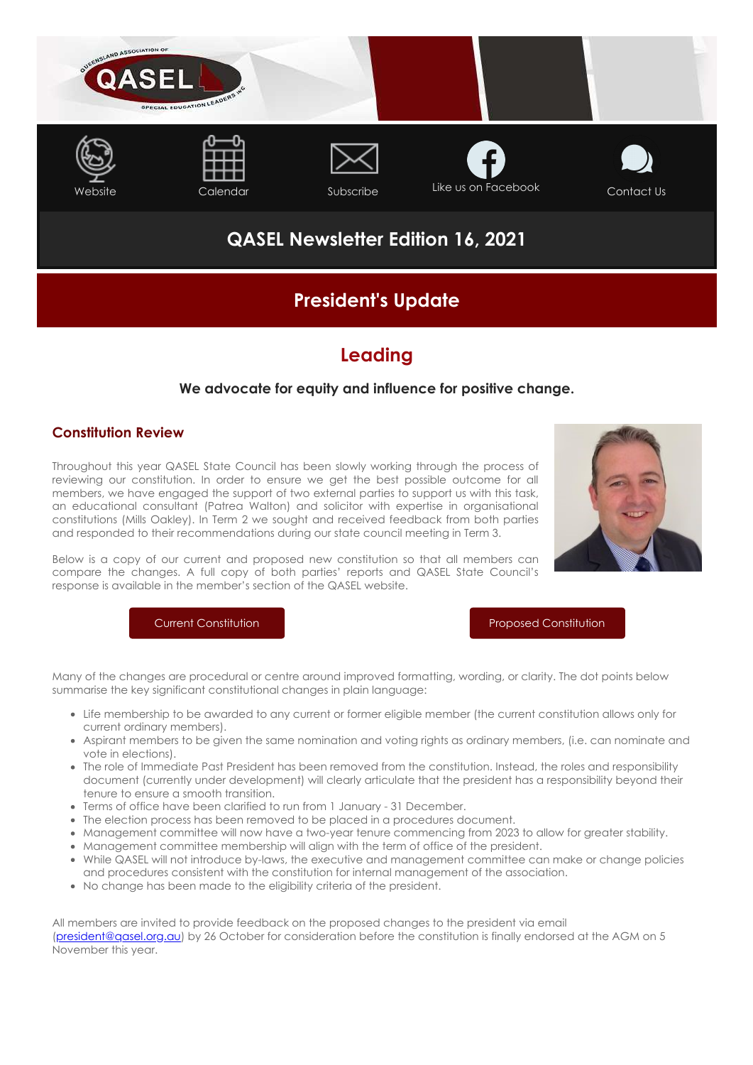

# **QASEL Newsletter Edition 16, 2021**

# **President's Update**

## **Leading**

## **We advocate for equity and influence for positive change.**

## **Constitution Review**

Throughout this year QASEL State Council has been slowly working through the process of reviewing our constitution. In order to ensure we get the best possible outcome for all members, we have engaged the support of two external parties to support us with this task, an educational consultant (Patrea Walton) and solicitor with expertise in organisational constitutions (Mills Oakley). In Term 2 we sought and received feedback from both parties and responded to their recommendations during our state council meeting in Term 3.



Below is a copy of our current and proposed new constitution so that all members can compare the changes. A full copy of both parties' reports and QASEL State Council's response is available in the member's section of the QASEL website.

[Current Constitution](https://cdn-au.mailsnd.com/81048/QUMOMTodWEMSNTW4gqQ9fksw0OckCErM0BwS90oZFE8/3496184.pdf) [Proposed Constitution](https://cdn-au.mailsnd.com/81048/BtdbVfWvSTScdqAvVxWWXcIQ8gHOI37LJHryltTFUNI/3496186.pdf)

Many of the changes are procedural or centre around improved formatting, wording, or clarity. The dot points below summarise the key significant constitutional changes in plain language:

- Life membership to be awarded to any current or former eligible member (the current constitution allows only for current ordinary members).
- Aspirant members to be given the same nomination and voting rights as ordinary members, (i.e. can nominate and vote in elections).
- The role of Immediate Past President has been removed from the constitution. Instead, the roles and responsibility document (currently under development) will clearly articulate that the president has a responsibility beyond their tenure to ensure a smooth transition.
- Terms of office have been clarified to run from 1 January 31 December.
- The election process has been removed to be placed in a procedures document.
- Management committee will now have a two-year tenure commencing from 2023 to allow for greater stability.
- Management committee membership will align with the term of office of the president.
- While QASEL will not introduce by-laws, the executive and management committee can make or change policies and procedures consistent with the constitution for internal management of the association.
- No change has been made to the eligibility criteria of the president.

All members are invited to provide feedback on the proposed changes to the president via email [\(president@qasel.org.au](mailto:president@qasel.org.au)) by 26 October for consideration before the constitution is finally endorsed at the AGM on 5 November this year.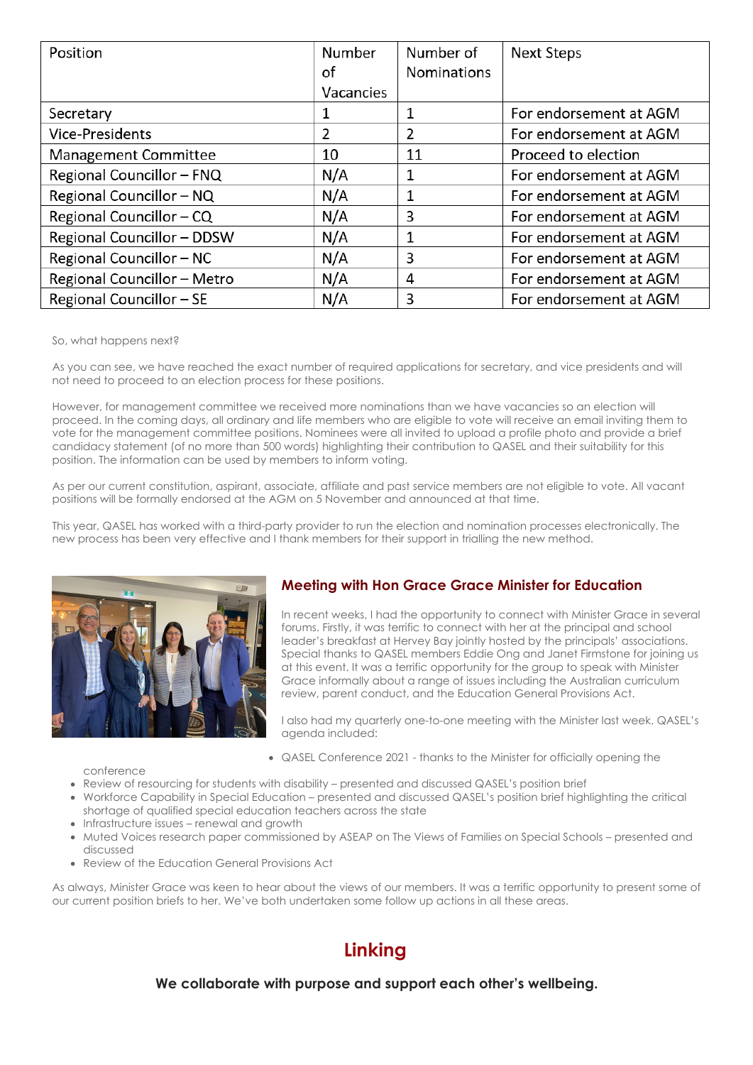| Position                    | Number    | Number of          | <b>Next Steps</b>      |
|-----------------------------|-----------|--------------------|------------------------|
|                             | of        | <b>Nominations</b> |                        |
|                             | Vacancies |                    |                        |
| Secretary                   |           |                    | For endorsement at AGM |
| <b>Vice-Presidents</b>      | 2         | 2                  | For endorsement at AGM |
| <b>Management Committee</b> | 10        | 11                 | Proceed to election    |
| Regional Councillor - FNQ   | N/A       |                    | For endorsement at AGM |
| Regional Councillor - NQ    | N/A       | 1                  | For endorsement at AGM |
| Regional Councillor - CQ    | N/A       | 3                  | For endorsement at AGM |
| Regional Councillor - DDSW  | N/A       | 1                  | For endorsement at AGM |
| Regional Councillor - NC    | N/A       | 3                  | For endorsement at AGM |
| Regional Councillor - Metro | N/A       | 4                  | For endorsement at AGM |
| Regional Councillor - SE    | N/A       | 3                  | For endorsement at AGM |

#### So, what happens next?

As you can see, we have reached the exact number of required applications for secretary, and vice presidents and will not need to proceed to an election process for these positions.

However, for management committee we received more nominations than we have vacancies so an election will proceed. In the coming days, all ordinary and life members who are eligible to vote will receive an email inviting them to vote for the management committee positions. Nominees were all invited to upload a profile photo and provide a brief candidacy statement (of no more than 500 words) highlighting their contribution to QASEL and their suitability for this position. The information can be used by members to inform voting.

As per our current constitution, aspirant, associate, affiliate and past service members are not eligible to vote. All vacant positions will be formally endorsed at the AGM on 5 November and announced at that time.

This year, QASEL has worked with a third-party provider to run the election and nomination processes electronically. The new process has been very effective and I thank members for their support in trialling the new method.



## **Meeting with Hon Grace Grace Minister for Education**

In recent weeks, I had the opportunity to connect with Minister Grace in several forums. Firstly, it was terrific to connect with her at the principal and school leader's breakfast at Hervey Bay jointly hosted by the principals' associations. Special thanks to QASEL members Eddie Ong and Janet Firmstone for joining us at this event. It was a terrific opportunity for the group to speak with Minister Grace informally about a range of issues including the Australian curriculum review, parent conduct, and the Education General Provisions Act.

I also had my quarterly one-to-one meeting with the Minister last week. QASEL's agenda included:

QASEL Conference 2021 - thanks to the Minister for officially opening the

conference

- Review of resourcing for students with disability presented and discussed QASEL's position brief
- Workforce Capability in Special Education presented and discussed QASEL's position brief highlighting the critical shortage of qualified special education teachers across the state
- Infrastructure issues renewal and growth
- Muted Voices research paper commissioned by ASEAP on The Views of Families on Special Schools presented and discussed
- Review of the Education General Provisions Act

As always, Minister Grace was keen to hear about the views of our members. It was a terrific opportunity to present some of our current position briefs to her. We've both undertaken some follow up actions in all these areas.

# **Linking**

### **We collaborate with purpose and support each other's wellbeing.**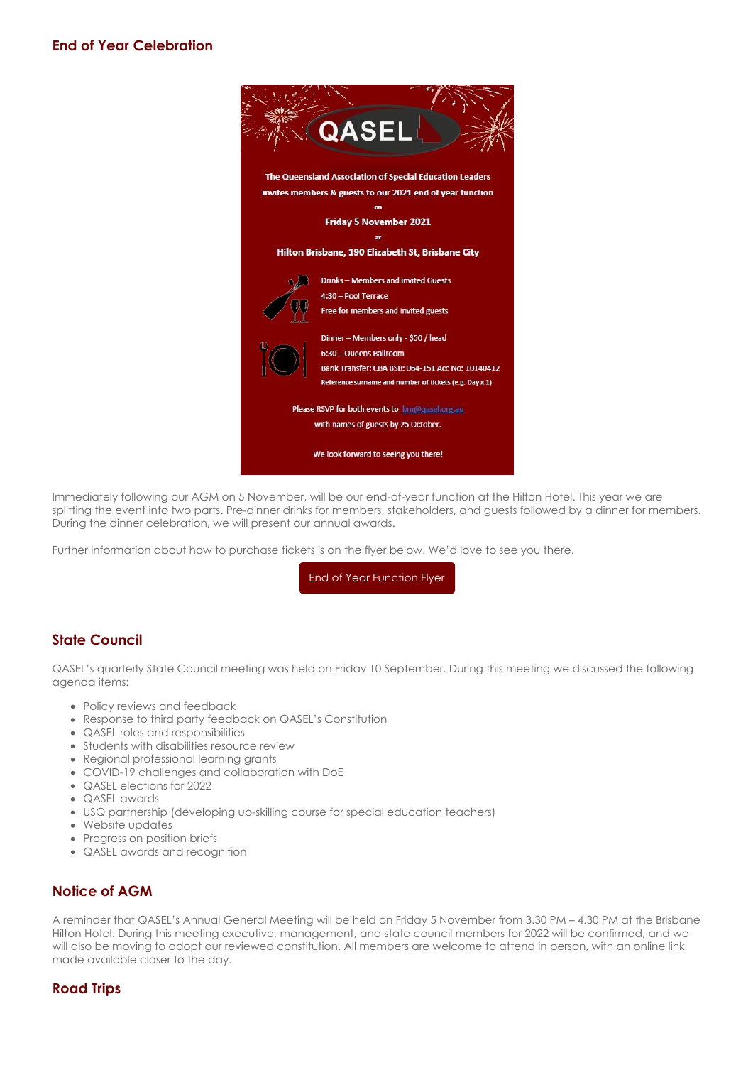

Immediately following our AGM on 5 November, will be our end-of-year function at the Hilton Hotel. This year we are splitting the event into two parts. Pre-dinner drinks for members, stakeholders, and guests followed by a dinner for members. During the dinner celebration, we will present our annual awards.

Further information about how to purchase tickets is on the flyer below. We'd love to see you there.

[End of Year Function Flyer](https://cdn-au.mailsnd.com/81048/zIgBv9Q8-q61hVxQwwYfp4kRlih7sTUIQWYnYV6VcpM/3496185.pdf)

## **State Council**

QASEL's quarterly State Council meeting was held on Friday 10 September. During this meeting we discussed the following agenda items:

- Policy reviews and feedback
- Response to third party feedback on QASEL's Constitution
- QASEL roles and responsibilities
- Students with disabilities resource review
- Regional professional learning grants
- COVID-19 challenges and collaboration with DoE
- QASEL elections for 2022
- QASEL awards
- USQ partnership (developing up-skilling course for special education teachers)
- Website updates
- Progress on position briefs
- QASEL awards and recognition

### **Notice of AGM**

A reminder that QASEL's Annual General Meeting will be held on Friday 5 November from 3.30 PM – 4.30 PM at the Brisbane Hilton Hotel. During this meeting executive, management, and state council members for 2022 will be confirmed, and we will also be moving to adopt our reviewed constitution. All members are welcome to attend in person, with an online link made available closer to the day.

## **Road Trips**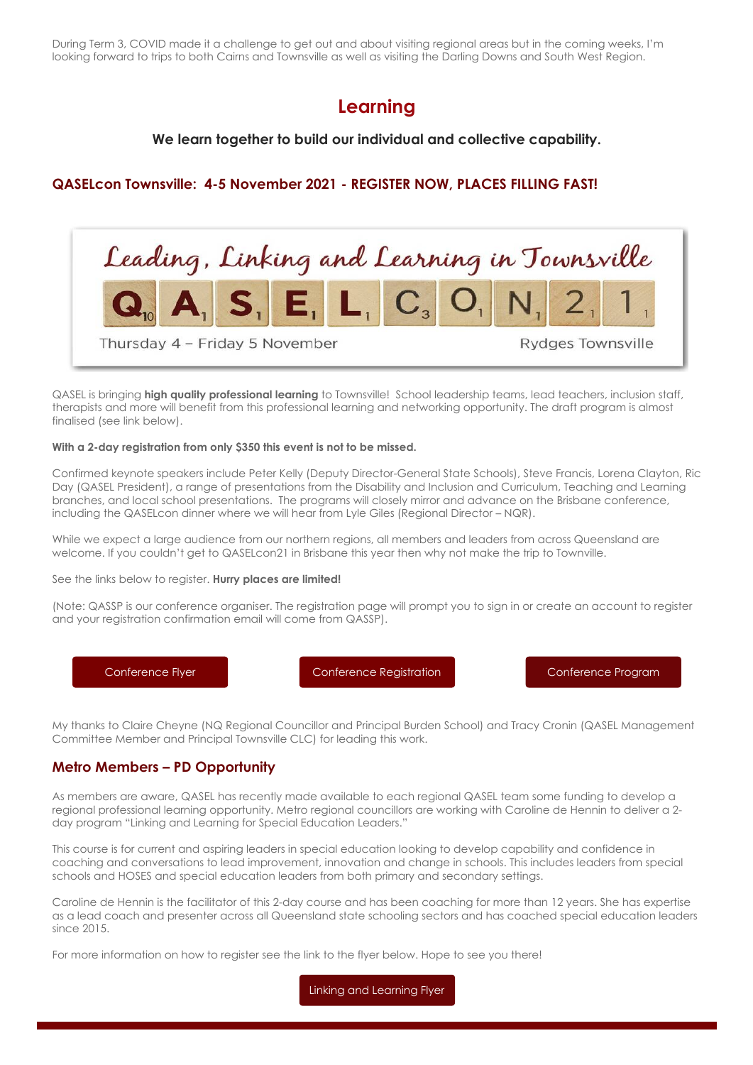During Term 3, COVID made it a challenge to get out and about visiting regional areas but in the coming weeks, I'm looking forward to trips to both Cairns and Townsville as well as visiting the Darling Downs and South West Region.

# **Learning**

### **We learn together to build our individual and collective capability.**

### **QASELcon Townsville: 4-5 November 2021 - REGISTER NOW, PLACES FILLING FAST!**



QASEL is bringing **high quality professional learning** to Townsville! School leadership teams, lead teachers, inclusion staff, therapists and more will benefit from this professional learning and networking opportunity. The draft program is almost finalised (see link below).

#### **With a 2-day registration from only \$350 this event is not to be missed.**

Confirmed keynote speakers include Peter Kelly (Deputy Director-General State Schools), Steve Francis, Lorena Clayton, Ric Day (QASEL President), a range of presentations from the Disability and Inclusion and Curriculum, Teaching and Learning branches, and local school presentations. The programs will closely mirror and advance on the Brisbane conference, including the QASELcon dinner where we will hear from Lyle Giles (Regional Director – NQR).

While we expect a large audience from our northern regions, all members and leaders from across Queensland are welcome. If you couldn't get to QASELcon21 in Brisbane this year then why not make the trip to Townville.

See the links below to register. **Hurry places are limited!**

(Note: QASSP is our conference organiser. The registration page will prompt you to sign in or create an account to register and your registration confirmation email will come from QASSP).

[Conference Flyer](https://cdn-au.mailsnd.com/81048/4RpdeXKmZYRr7DLI4GxVkZmrrtUFCF_8hGQClIXUgjw/3483044.pdf) [Conference Registration](https://www.qassp.org.au/QASEL/QASELCon21TSV/0QASELCon21TSV.aspx) [Conference Program](https://cdn-au.mailsnd.com/81048/A7ThOAUCy7yymykxuURt6gsswcC6EJtj8F1egXhcyMs/3497194.pdf)

My thanks to Claire Cheyne (NQ Regional Councillor and Principal Burden School) and Tracy Cronin (QASEL Management Committee Member and Principal Townsville CLC) for leading this work.

### **Metro Members – PD Opportunity**

As members are aware, QASEL has recently made available to each regional QASEL team some funding to develop a regional professional learning opportunity. Metro regional councillors are working with Caroline de Hennin to deliver a 2 day program "Linking and Learning for Special Education Leaders."

This course is for current and aspiring leaders in special education looking to develop capability and confidence in coaching and conversations to lead improvement, innovation and change in schools. This includes leaders from special schools and HOSES and special education leaders from both primary and secondary settings.

Caroline de Hennin is the facilitator of this 2-day course and has been coaching for more than 12 years. She has expertise as a lead coach and presenter across all Queensland state schooling sectors and has coached special education leaders  $since$  2015

For more information on how to register see the link to the flyer below. Hope to see you there!

[Linking and Learning Flyer](https://cdn-au.mailsnd.com/81048/aHQEiEOZvuHIGtaVdr_YDBNeiW11uAmRK4CvP3zsCNs/3496187.pdf)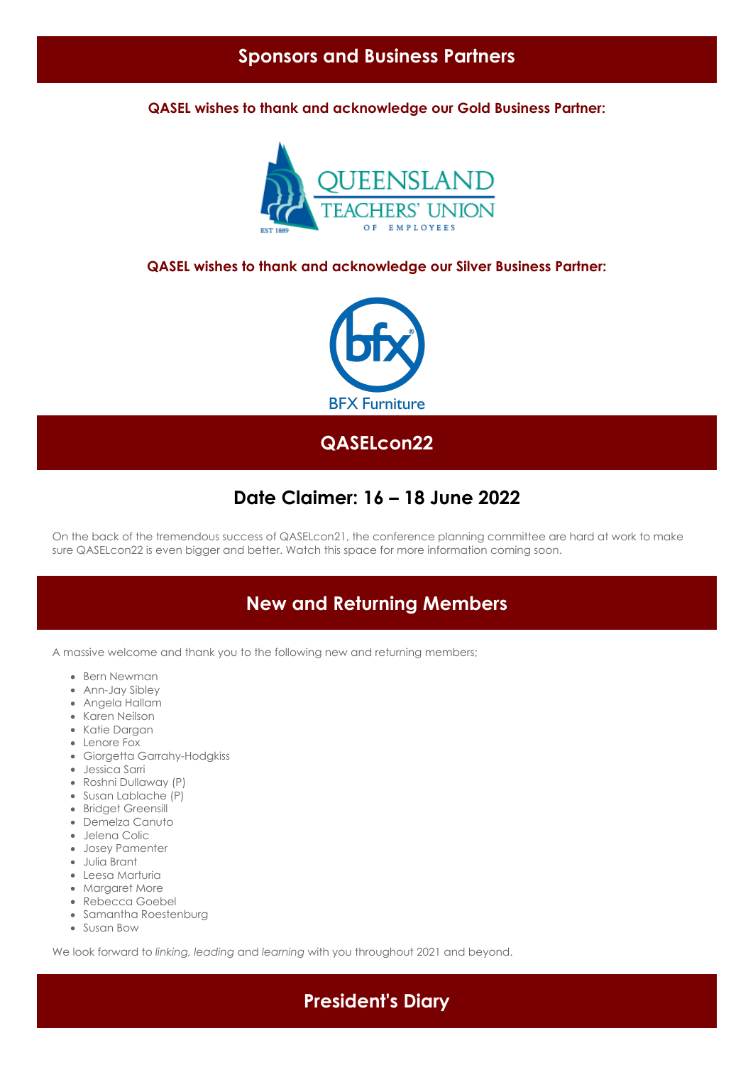## **Sponsors and Business Partners**

**QASEL wishes to thank and acknowledge our Gold Business Partner:**



#### **QASEL wishes to thank and acknowledge our Silver Business Partner:**



## **QASELcon22**

## **Date Claimer: 16 – 18 June 2022**

On the back of the tremendous success of QASELcon21, the conference planning committee are hard at work to make sure QASELcon22 is even bigger and better. Watch this space for more information coming soon.

# **New and Returning Members**

A massive welcome and thank you to the following new and returning members;

- Bern Newman
- Ann-Jay Sibley
- Angela Hallam
- Karen Neilson
- Katie Dargan
- Lenore Fox
- Giorgetta Garrahy-Hodgkiss
- Jessica Sarri
- Roshni Dullaway (P)
- Susan Lablache (P)
- Bridget Greensill
- Demelza Canuto
- Jelena Colic
- Josey Pamenter
- Julia Brant
- Leesa Marturia
- Margaret More
- Rebecca Goebel
- Samantha Roestenburg
- Susan Bow

We look forward to *linking, leading* and *learning* with you throughout 2021 and beyond.

**President's Diary**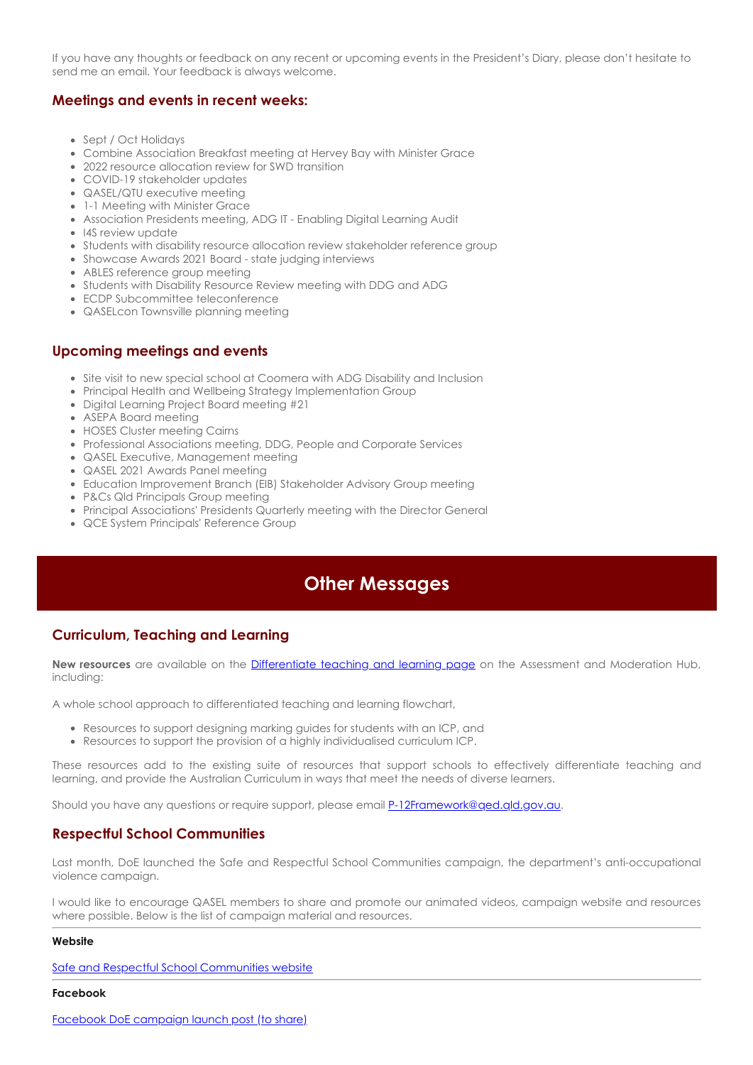If you have any thoughts or feedback on any recent or upcoming events in the President's Diary, please don't hesitate to send me an email. Your feedback is always welcome.

### **Meetings and events in recent weeks:**

- Sept / Oct Holidays
- Combine Association Breakfast meeting at Hervey Bay with Minister Grace
- 2022 resource allocation review for SWD transition
- COVID-19 stakeholder updates
- QASEL/QTU executive meeting
- 1-1 Meeting with Minister Grace
- Association Presidents meeting, ADG IT Enabling Digital Learning Audit
- I4S review update
- Students with disability resource allocation review stakeholder reference group
- Showcase Awards 2021 Board state judging interviews
- ABLES reference group meeting
- Students with Disability Resource Review meeting with DDG and ADG
- ECDP Subcommittee teleconference
- QASELcon Townsville planning meeting

#### **Upcoming meetings and events**

- Site visit to new special school at Coomera with ADG Disability and Inclusion
- Principal Health and Wellbeing Strategy Implementation Group
- Digital Learning Project Board meeting #21
- ASEPA Board meeting
- HOSES Cluster meeting Cairns
- Professional Associations meeting, DDG, People and Corporate Services
- QASEL Executive, Management meeting
- QASEL 2021 Awards Panel meeting
- Education Improvement Branch (EIB) Stakeholder Advisory Group meeting
- P&Cs Qld Principals Group meeting
- Principal Associations' Presidents Quarterly meeting with the Director General
- QCE System Principals' Reference Group

# **Other Messages**

### **Curriculum, Teaching and Learning**

**New resources** are available on the [Differentiate teaching and learning page](https://learningplace.eq.edu.au/cx/resources/file/76fcf9c5-4485-4fa1-9981-19073ca3865b/1/curriculum/differentiate-teaching-learning.html) on the Assessment and Moderation Hub, including:

A whole school approach to differentiated teaching and learning flowchart,

- Resources to support designing marking guides for students with an ICP, and
- Resources to support the provision of a highly individualised curriculum ICP.

These resources add to the existing suite of resources that support schools to effectively differentiate teaching and learning, and provide the Australian Curriculum in ways that meet the needs of diverse learners.

Should you have any questions or require support, please email **[P-12Framework@qed.qld.gov.au](mailto:P-12Framework@qed.qld.gov.au).** 

### **Respectful School Communities**

Last month, DoE launched the Safe and Respectful School Communities campaign, the department's anti-occupational violence campaign.

I would like to encourage QASEL members to share and promote our animated videos, campaign website and resources where possible. Below is the list of campaign material and resources.

#### **Website**

[Safe and Respectful School Communities website](https://education.qld.gov.au/parents-and-carers/safe-and-respectful-school-communities)

#### **Facebook**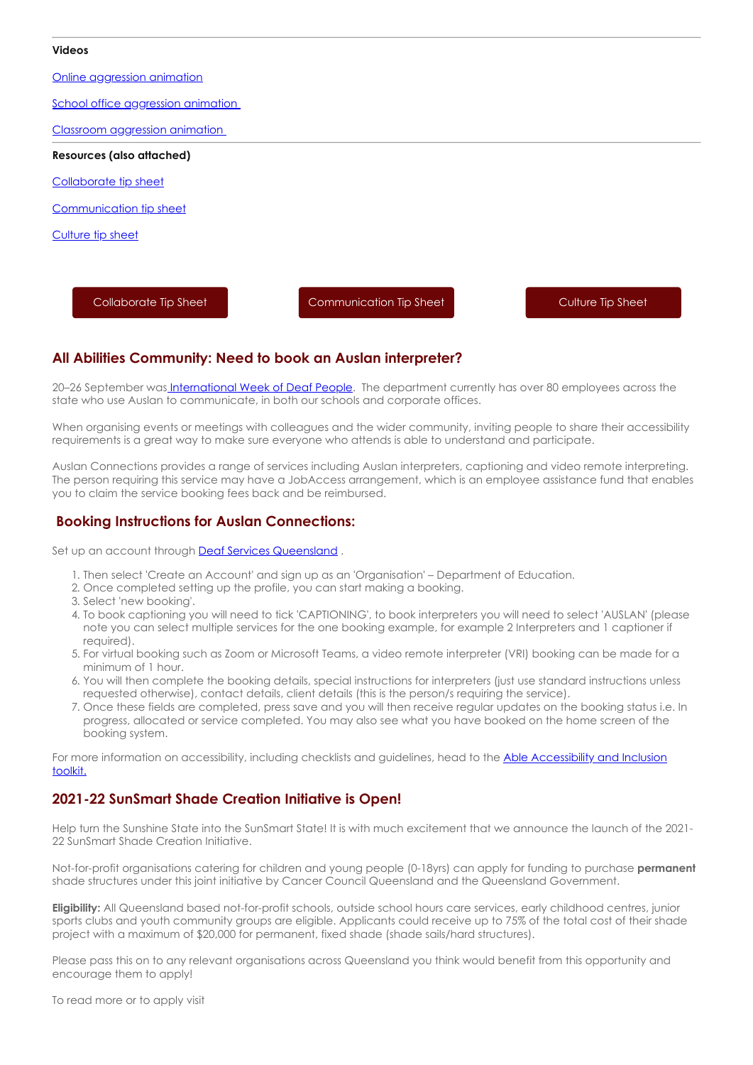#### **Videos**

[Online aggression animation](https://www.youtube.com/watch?v=DG5H_mVmBpU)

[School office aggression animation](https://www.youtube.com/watch?v=JjJOTqZ56IU) 

[Classroom aggression animation](https://www.youtube.com/watch?v=_Mk0_t5CEKQ) 

**Resources (also attached)**

[Collaborate tip sheet](https://education.qld.gov.au/parents/safe-and-respectful-school-communities/Documents/tip-sheet-lets-collaborate.pdf)

[Communication tip sheet](https://education.qld.gov.au/parents/safe-and-respectful-school-communities/Documents/tip-sheet-lets-communicate.pdf)

[Culture tip sheet](https://education.qld.gov.au/parents/safe-and-respectful-school-communities/Documents/tip-sheet-positive-behaviour.pdf)

[Collaborate Tip Sheet](https://cdn-au.mailsnd.com/81048/oIB9jJWdI6qheKGuww6ZFCMXnsMN6g0hKerVXyuGmXw/3496180.pdf) [Communication Tip Sheet](https://cdn-au.mailsnd.com/81048/FDbGZDT3-Kjk-RtXto6qHmODicxHQhiQ41_5URAbXcY/3496179.pdf) [Culture Tip Sheet](https://cdn-au.mailsnd.com/81048/iyuf4sE2GGu19h2LVopCHP-DAtdeV6qjkRWLegjcFrY/3496183.pdf)

### **All Abilities Community: Need to book an Auslan interpreter?**

20–26 September wa[s International Week of Deaf People.](https://wfdeaf.org/iwdeaf2021/) The department currently has over 80 employees across the state who use Auslan to communicate, in both our schools and corporate offices.

When organising events or meetings with collegaues and the wider community, inviting people to share their accessibility requirements is a great way to make sure everyone who attends is able to understand and participate.

Auslan Connections provides a range of services including Auslan interpreters, captioning and video remote interpreting. The person requiring this service may have a JobAccess arrangement, which is an employee assistance fund that enables you to claim the service booking fees back and be reimbursed.

### **Booking Instructions for Auslan Connections:**

Set up an account through [Deaf Services Queensland](https://bookings.deafservicesqld.org.au/#/authenticate).

- 1. Then select 'Create an Account' and sign up as an 'Organisation' Department of Education.
- 2. Once completed setting up the profile, you can start making a booking.
- 3. Select 'new booking'.
- 4. To book captioning you will need to tick 'CAPTIONING', to book interpreters you will need to select 'AUSLAN' (please note you can select multiple services for the one booking example, for example 2 Interpreters and 1 captioner if required).
- 5. For virtual booking such as Zoom or Microsoft Teams, a video remote interpreter (VRI) booking can be made for a minimum of 1 hour.
- 6. You will then complete the booking details, special instructions for interpreters (just use standard instructions unless requested otherwise), contact details, client details (this is the person/s requiring the service).
- 7. Once these fields are completed, press save and you will then receive regular updates on the booking status i.e. In progress, allocated or service completed. You may also see what you have booked on the home screen of the booking system.

[For more information on accessibility, including checklists and guidelines, head to the Able Accessibility and Inclusion](https://intranet.qed.qld.gov.au/Services/HumanResources/payrollhr/workplaceculturediversity/we-all-belong/all-abilities/accessibility-inclusion-toolkit/Pages/accessibility.aspx) toolkit.

### **2021-22 SunSmart Shade Creation Initiative is Open!**

Help turn the Sunshine State into the SunSmart State! It is with much excitement that we announce the launch of the 2021- 22 SunSmart Shade Creation Initiative.

Not-for-profit organisations catering for children and young people (0-18yrs) can apply for funding to purchase **permanent** shade structures under this joint initiative by Cancer Council Queensland and the Queensland Government.

**Eligibility:** All Queensland based not-for-profit schools, outside school hours care services, early childhood centres, junior sports clubs and youth community groups are eligible. Applicants could receive up to 75% of the total cost of their shade project with a maximum of \$20,000 for permanent, fixed shade (shade sails/hard structures).

Please pass this on to any relevant organisations across Queensland you think would benefit from this opportunity and encourage them to apply!

To read more or to apply visit